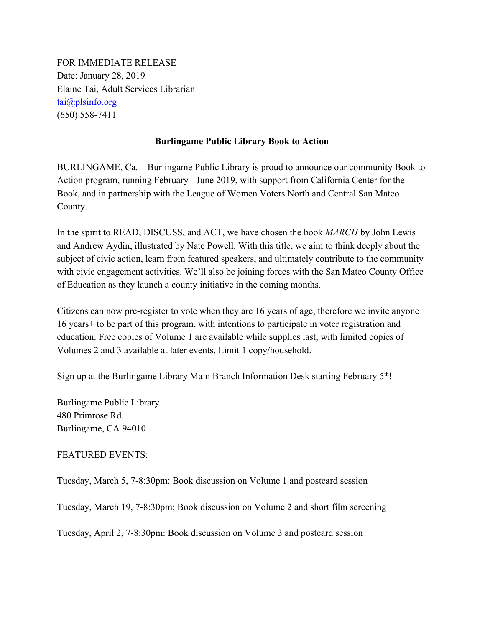FOR IMMEDIATE RELEASE Date: January 28, 2019 Elaine Tai, Adult Services Librarian tai@plsinfo.org (650) 558-7411

## **Burlingame Public Library Book to Action**

BURLINGAME, Ca. – Burlingame Public Library is proud to announce our community Book to Action program, running February - June 2019, with support from California Center for the Book, and in partnership with the League of Women Voters North and Central San Mateo County.

In the spirit to READ, DISCUSS, and ACT, we have chosen the book *MARCH* by John Lewis and Andrew Aydin, illustrated by Nate Powell. With this title, we aim to think deeply about the subject of civic action, learn from featured speakers, and ultimately contribute to the community with civic engagement activities. We'll also be joining forces with the San Mateo County Office of Education as they launch a county initiative in the coming months.

Citizens can now pre-register to vote when they are 16 years of age, therefore we invite anyone 16 years+ to be part of this program, with intentions to participate in voter registration and education. Free copies of Volume 1 are available while supplies last, with limited copies of Volumes 2 and 3 available at later events. Limit 1 copy/household.

Sign up at the Burlingame Library Main Branch Information Desk starting February 5<sup>th</sup>!

Burlingame Public Library 480 Primrose Rd. Burlingame, CA 94010

## FEATURED EVENTS:

Tuesday, March 5, 7-8:30pm: Book discussion on Volume 1 and postcard session

Tuesday, March 19, 7-8:30pm: Book discussion on Volume 2 and short film screening

Tuesday, April 2, 7-8:30pm: Book discussion on Volume 3 and postcard session